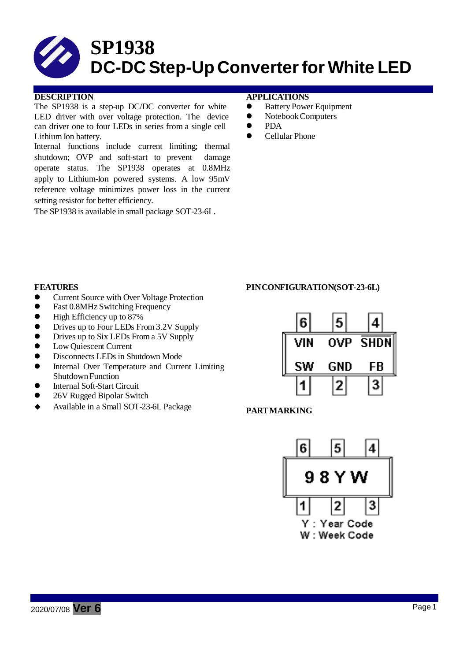

### **DESCRIPTION APPLICATIONS**

The SP1938 is a step-up DC/DC converter for white LED driver with over voltage protection. The device can driver one to four LEDs in series from a single cell Lithium Ion battery.

Internal functions include current limiting; thermal shutdown; OVP and soft-start to prevent damage operate status. The SP1938 operates at 0.8MHz apply to Lithium-Ion powered systems. A low 95mV reference voltage minimizes power loss in the current setting resistor for better efficiency.

The SP1938 is available in small package SOT-23-6L.

- Battery Power Equipment
- NotebookComputers
- PDA
- Cellular Phone

- **•** Current Source with Over Voltage Protection
- Fast 0.8MHz Switching Frequency
- High Efficiency up to 87%
- Drives up to Four LEDs From 3.2V Supply
- Drives up to Six LEDs From a 5V Supply
- Low Quiescent Current
- $\bullet$  Disconnects LEDs in Shutdown Mode
- Internal Over Temperature and Current Limiting ShutdownFunction
- Internal Soft-Start Circuit
- 26V Rugged Bipolar Switch
- Available in <sup>a</sup> Small SOT-23-6L Package **PARTMARKING**

### **FEATURES PINCONFIGURATION(SOT-23-6L)**



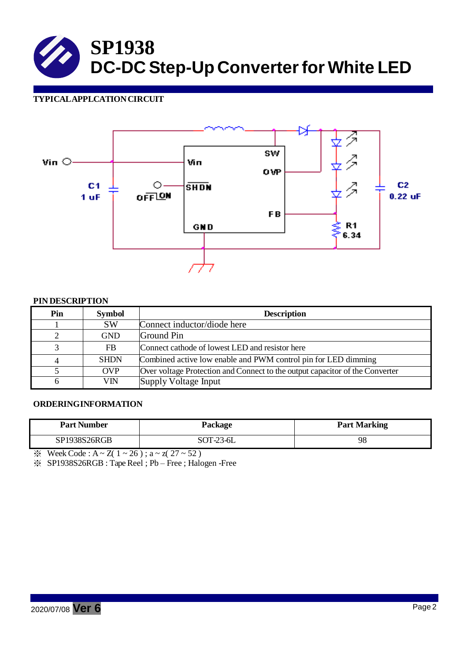## **TYPICALAPPLCATIONCIRCUIT**



#### **PIN DESCRIPTION**

| Pin                         | <b>Symbol</b> | <b>Description</b>                                                           |
|-----------------------------|---------------|------------------------------------------------------------------------------|
|                             | <b>SW</b>     | Connect inductor/diode here                                                  |
| $\mathcal{D}_{\mathcal{A}}$ | <b>GND</b>    | Ground Pin                                                                   |
| 3                           | <b>FB</b>     | Connect cathode of lowest LED and resistor here                              |
| $\overline{4}$              | <b>SHDN</b>   | Combined active low enable and PWM control pin for LED dimming               |
|                             | <b>OVP</b>    | Over voltage Protection and Connect to the output capacitor of the Converter |
| 6                           | VIN           | Supply Voltage Input                                                         |

#### **ORDERINGINFORMATION**

| <b>Part Number</b>  | Package   | <b>Part Marking</b> |
|---------------------|-----------|---------------------|
| <b>SP1938S26RGB</b> | SOT-23-6L | 98                  |

 $\frac{1}{2}$  Week Code : A ~ Z( 1 ~ 26); a ~ z( 27 ~ 52)

※ SP1938S26RGB : TapeReel ; Pb – Free ; Halogen -Free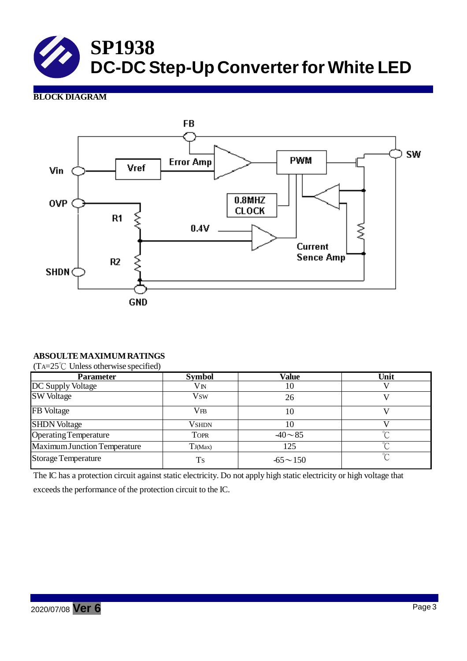# **BLOCK DIAGRAM**



# **ABSOULTE MAXIMUMRATINGS**

(TA=25℃ Unless otherwise specified)

| <b>Parameter</b>             | <b>Symbol</b> | Value          | Unit   |
|------------------------------|---------------|----------------|--------|
| DC Supply Voltage            | VN            | 10             |        |
| <b>SW Voltage</b>            | Vsw           | 26             |        |
| FB Voltage                   | $_{\rm VFB}$  | 10             |        |
| <b>SHDN Voltage</b>          | <b>VSHDN</b>  | 10             |        |
| <b>Operating Temperature</b> | <b>TOPR</b>   | $-40 - 85$     | $\sim$ |
| Maximum Junction Temperature | TJ(Max)       | 125            | $\sim$ |
| <b>Storage Temperature</b>   | <b>Ts</b>     | $-65 \sim 150$ | $\sim$ |

The IC has a protection circuit against static electricity. Do not apply high static electricity or high voltage that exceeds the performance of the protection circuit to the IC.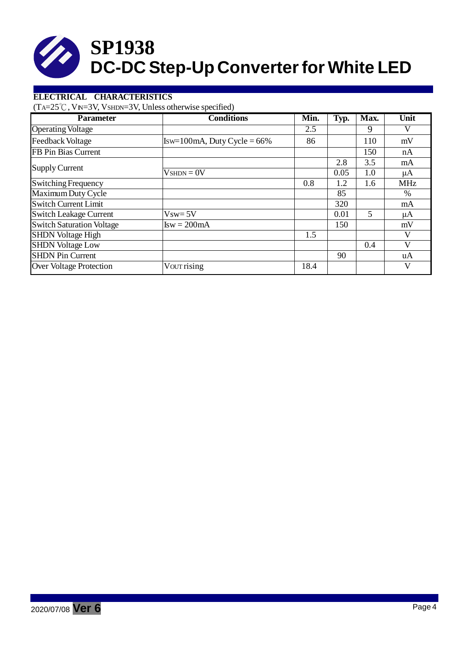# **ELECTRICAL CHARACTERISTICS**

 $(TA=25^{\circ}C, VN=3V, VsHDN=3V, Unless otherwise specified)$ 

| <b>Parameter</b>                 | <b>Conditions</b>              | Min. | Typ. | Max. | Unit         |
|----------------------------------|--------------------------------|------|------|------|--------------|
| <b>Operating Voltage</b>         |                                | 2.5  |      | 9    | V            |
| <b>Feedback Voltage</b>          | $Isw=100mA$ , Duty Cycle = 66% | 86   |      | 110  | mV           |
| FB Pin Bias Current              |                                |      |      | 150  | nA           |
|                                  |                                |      | 2.8  | 3.5  | mA           |
| <b>Supply Current</b>            | $VshDN = 0V$                   |      | 0.05 | 1.0  | μA           |
| Switching Frequency              |                                | 0.8  | 1.2  | 1.6  | <b>MHz</b>   |
| Maximum Duty Cycle               |                                |      | 85   |      | %            |
| <b>Switch Current Limit</b>      |                                |      | 320  |      | mA           |
| <b>Switch Leakage Current</b>    | $Vsw = 5V$                     |      | 0.01 | 5    | μA           |
| <b>Switch Saturation Voltage</b> | $Isw = 200mA$                  |      | 150  |      | mV           |
| <b>SHDN</b> Voltage High         |                                | 1.5  |      |      | V            |
| <b>SHDN Voltage Low</b>          |                                |      |      | 0.4  | $\mathbf{V}$ |
| <b>SHDN Pin Current</b>          |                                |      | 90   |      | uA           |
| Over Voltage Protection          | Vour rising                    | 18.4 |      |      | V            |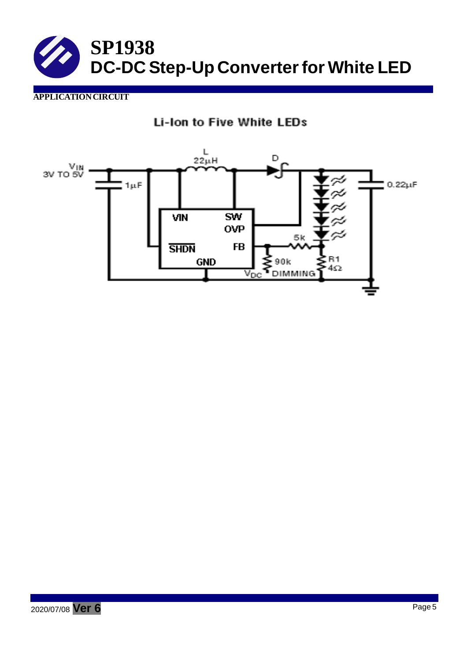

# **APPLICATIONCIRCUIT**